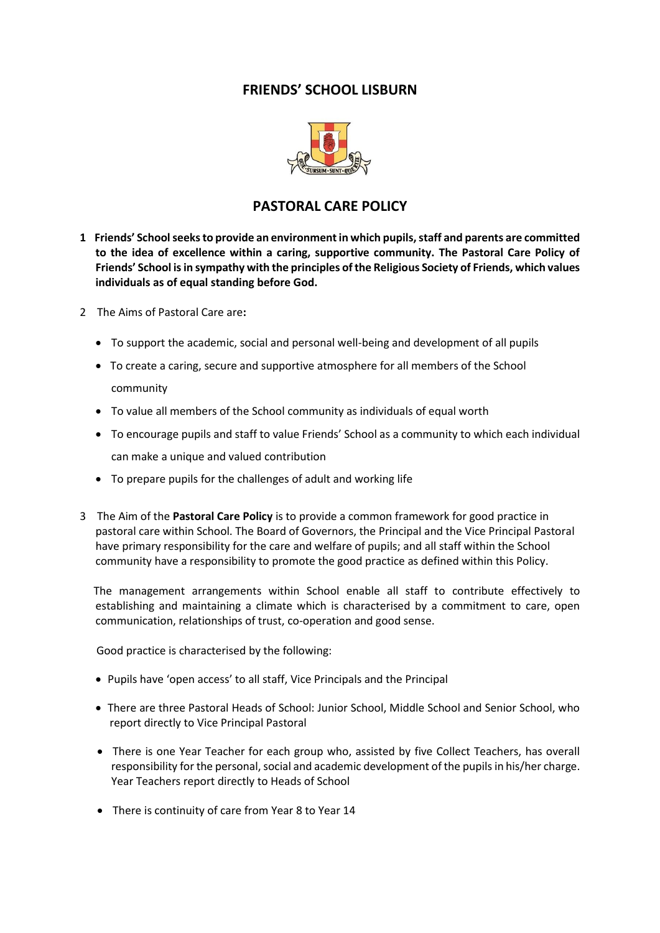## **FRIENDS' SCHOOL LISBURN**



## **PASTORAL CARE POLICY**

- **1 Friends' School seeks to provide an environment in which pupils, staff and parents are committed to the idea of excellence within a caring, supportive community. The Pastoral Care Policy of Friends' School is in sympathy with the principles of the Religious Society of Friends, which values individuals as of equal standing before God.**
- 2The Aims of Pastoral Care are**:**
	- To support the academic, social and personal well-being and development of all pupils
	- To create a caring, secure and supportive atmosphere for all members of the School community
	- To value all members of the School community as individuals of equal worth
	- To encourage pupils and staff to value Friends' School as a community to which each individual can make a unique and valued contribution
	- To prepare pupils for the challenges of adult and working life
- 3 The Aim of the **Pastoral Care Policy** is to provide a common framework for good practice in pastoral care within School. The Board of Governors, the Principal and the Vice Principal Pastoral have primary responsibility for the care and welfare of pupils; and all staff within the School community have a responsibility to promote the good practice as defined within this Policy.

 The management arrangements within School enable all staff to contribute effectively to establishing and maintaining a climate which is characterised by a commitment to care, open communication, relationships of trust, co-operation and good sense.

Good practice is characterised by the following:

- Pupils have 'open access' to all staff, Vice Principals and the Principal
- There are three Pastoral Heads of School: Junior School, Middle School and Senior School, who report directly to Vice Principal Pastoral
- There is one Year Teacher for each group who, assisted by five Collect Teachers, has overall responsibility for the personal, social and academic development of the pupils in his/her charge. Year Teachers report directly to Heads of School
- There is continuity of care from Year 8 to Year 14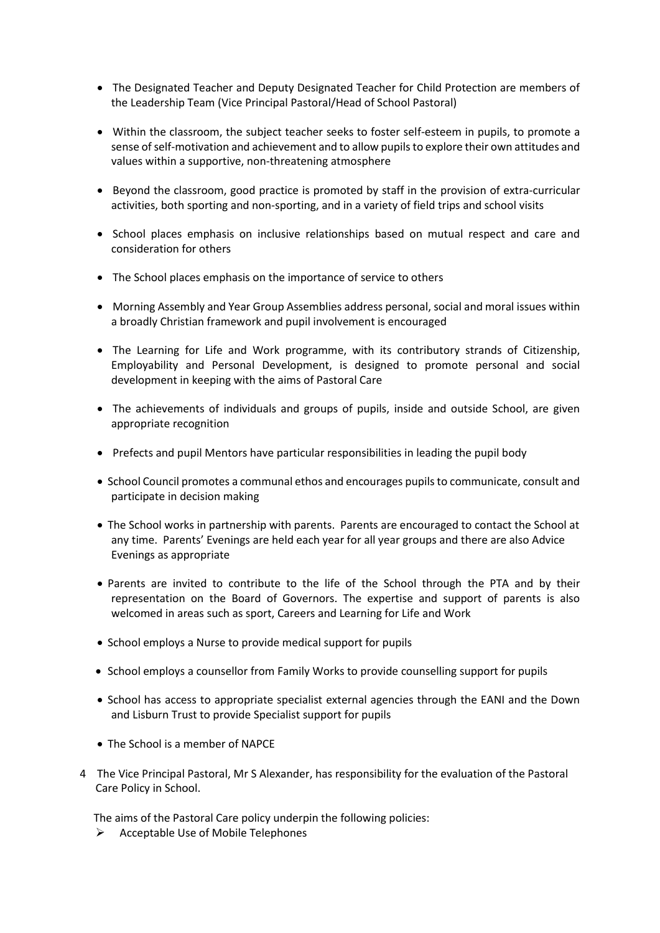- The Designated Teacher and Deputy Designated Teacher for Child Protection are members of the Leadership Team (Vice Principal Pastoral/Head of School Pastoral)
- Within the classroom, the subject teacher seeks to foster self-esteem in pupils, to promote a sense of self-motivation and achievement and to allow pupils to explore their own attitudes and values within a supportive, non-threatening atmosphere
- Beyond the classroom, good practice is promoted by staff in the provision of extra-curricular activities, both sporting and non-sporting, and in a variety of field trips and school visits
- School places emphasis on inclusive relationships based on mutual respect and care and consideration for others
- The School places emphasis on the importance of service to others
- Morning Assembly and Year Group Assemblies address personal, social and moral issues within a broadly Christian framework and pupil involvement is encouraged
- The Learning for Life and Work programme, with its contributory strands of Citizenship, Employability and Personal Development, is designed to promote personal and social development in keeping with the aims of Pastoral Care
- The achievements of individuals and groups of pupils, inside and outside School, are given appropriate recognition
- Prefects and pupil Mentors have particular responsibilities in leading the pupil body
- School Council promotes a communal ethos and encourages pupils to communicate, consult and participate in decision making
- The School works in partnership with parents. Parents are encouraged to contact the School at any time. Parents' Evenings are held each year for all year groups and there are also Advice Evenings as appropriate
- Parents are invited to contribute to the life of the School through the PTA and by their representation on the Board of Governors. The expertise and support of parents is also welcomed in areas such as sport, Careers and Learning for Life and Work
- School employs a Nurse to provide medical support for pupils
- School employs a counsellor from Family Works to provide counselling support for pupils
- School has access to appropriate specialist external agencies through the EANI and the Down and Lisburn Trust to provide Specialist support for pupils
- The School is a member of NAPCE
- 4 The Vice Principal Pastoral, Mr S Alexander, has responsibility for the evaluation of the Pastoral Care Policy in School.

The aims of the Pastoral Care policy underpin the following policies:

 $\triangleright$  Acceptable Use of Mobile Telephones